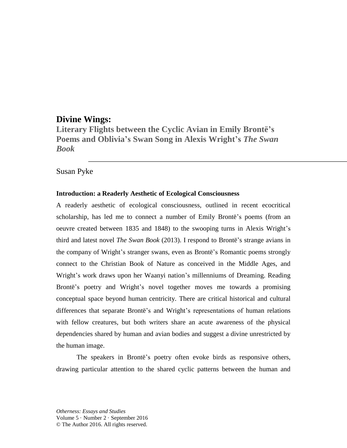# **Divine Wings:**

**Literary Flights between the Cyclic Avian in Emily Brontë's Poems and Oblivia's Swan Song in Alexis Wright's** *The Swan Book*

## Susan Pyke

### **Introduction: a Readerly Aesthetic of Ecological Consciousness**

A readerly aesthetic of ecological consciousness, outlined in recent ecocritical scholarship, has led me to connect a number of Emily Brontë's poems (from an oeuvre created between 1835 and 1848) to the swooping turns in Alexis Wright's third and latest novel *The Swan Book* (2013). I respond to Brontë's strange avians in the company of Wright's stranger swans, even as Brontë's Romantic poems strongly connect to the Christian Book of Nature as conceived in the Middle Ages, and Wright's work draws upon her Waanyi nation's millenniums of Dreaming. Reading Brontë's poetry and Wright's novel together moves me towards a promising conceptual space beyond human centricity. There are critical historical and cultural differences that separate Brontë's and Wright's representations of human relations with fellow creatures, but both writers share an acute awareness of the physical dependencies shared by human and avian bodies and suggest a divine unrestricted by the human image.

The speakers in Brontë's poetry often evoke birds as responsive others, drawing particular attention to the shared cyclic patterns between the human and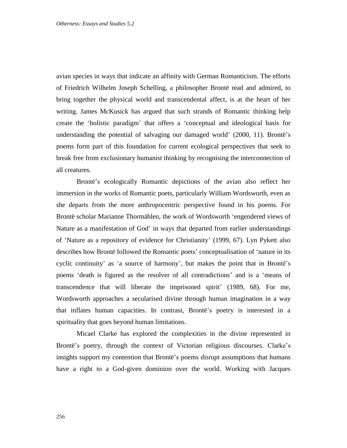avian species in ways that indicate an affinity with German Romanticism. The efforts of Friedrich Wilhelm Joseph Schelling, a philosopher Brontë read and admired, to bring together the physical world and transcendental affect, is at the heart of her writing. James McKusick has argued that such strands of Romantic thinking help create the 'holistic paradigm' that offers a 'conceptual and ideological basis for understanding the potential of salvaging our damaged world' (2000, 11). Brontë's poems form part of this foundation for current ecological perspectives that seek to break free from exclusionary humanist thinking by recognising the interconnection of all creatures.

Brontë's ecologically Romantic depictions of the avian also reflect her immersion in the works of Romantic poets, particularly William Wordsworth, even as she departs from the more anthropocentric perspective found in his poems. For Brontë scholar Marianne Thormählen, the work of Wordsworth 'engendered views of Nature as a manifestation of God' in ways that departed from earlier understandings of 'Nature as a repository of evidence for Christianity' (1999, 67). Lyn Pykett also describes how Brontë followed the Romantic poets' conceptualisation of 'nature in its cyclic continuity' as 'a source of harmony', but makes the point that in Brontë's poems 'death is figured as the resolver of all contradictions' and is a 'means of transcendence that will liberate the imprisoned spirit' (1989, 68). For me, Wordsworth approaches a secularised divine through human imagination in a way that inflates human capacities. In contrast, Brontë's poetry is interested in a spirituality that goes beyond human limitations.

Micael Clarke has explored the complexities in the divine represented in Brontë's poetry, through the context of Victorian religious discourses. Clarke's insights support my contention that Brontë's poems disrupt assumptions that humans have a right to a God-given dominion over the world. Working with Jacques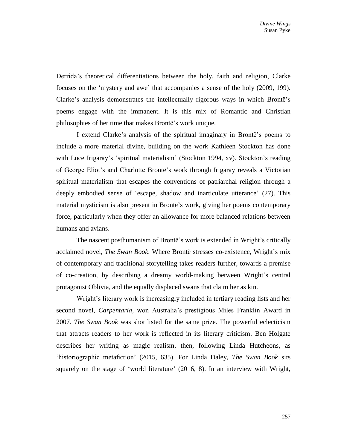Derrida's theoretical differentiations between the holy, faith and religion, Clarke focuses on the 'mystery and awe' that accompanies a sense of the holy (2009, 199). Clarke's analysis demonstrates the intellectually rigorous ways in which Brontë's poems engage with the immanent. It is this mix of Romantic and Christian philosophies of her time that makes Brontë's work unique.

I extend Clarke's analysis of the spiritual imaginary in Brontë's poems to include a more material divine, building on the work Kathleen Stockton has done with Luce Irigaray's 'spiritual materialism' (Stockton 1994, xv). Stockton's reading of George Eliot's and Charlotte Brontë's work through Irigaray reveals a Victorian spiritual materialism that escapes the conventions of patriarchal religion through a deeply embodied sense of 'escape, shadow and inarticulate utterance' (27). This material mysticism is also present in Brontë's work, giving her poems contemporary force, particularly when they offer an allowance for more balanced relations between humans and avians.

The nascent posthumanism of Brontë's work is extended in Wright's critically acclaimed novel, *The Swan Book*. Where Brontë stresses co-existence, Wright's mix of contemporary and traditional storytelling takes readers further, towards a premise of co-creation, by describing a dreamy world-making between Wright's central protagonist Oblivia, and the equally displaced swans that claim her as kin.

Wright's literary work is increasingly included in tertiary reading lists and her second novel, *Carpentaria,* won Australia's prestigious Miles Franklin Award in 2007. *The Swan Book* was shortlisted for the same prize. The powerful eclecticism that attracts readers to her work is reflected in its literary criticism. Ben Holgate describes her writing as magic realism, then, following Linda Hutcheons, as 'historiographic metafiction' (2015, 635). For Linda Daley, *The Swan Book* sits squarely on the stage of 'world literature' (2016, 8). In an interview with Wright,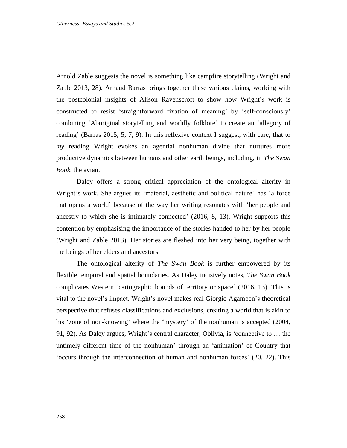Arnold Zable suggests the novel is something like campfire storytelling (Wright and Zable 2013, 28). Arnaud Barras brings together these various claims, working with the postcolonial insights of Alison Ravenscroft to show how Wright's work is constructed to resist 'straightforward fixation of meaning' by 'self-consciously' combining 'Aboriginal storytelling and worldly folklore' to create an 'allegory of reading' (Barras 2015, 5, 7, 9). In this reflexive context I suggest, with care, that to *my* reading Wright evokes an agential nonhuman divine that nurtures more productive dynamics between humans and other earth beings, including, in *The Swan Book*, the avian.

Daley offers a strong critical appreciation of the ontological alterity in Wright's work. She argues its 'material, aesthetic and political nature' has 'a force that opens a world' because of the way her writing resonates with 'her people and ancestry to which she is intimately connected' (2016, 8, 13). Wright supports this contention by emphasising the importance of the stories handed to her by her people (Wright and Zable 2013). Her stories are fleshed into her very being, together with the beings of her elders and ancestors.

The ontological alterity of *The Swan Book* is further empowered by its flexible temporal and spatial boundaries. As Daley incisively notes, *The Swan Book* complicates Western 'cartographic bounds of territory or space' (2016, 13). This is vital to the novel's impact. Wright's novel makes real Giorgio Agamben's theoretical perspective that refuses classifications and exclusions, creating a world that is akin to his 'zone of non-knowing' where the 'mystery' of the nonhuman is accepted (2004, 91, 92). As Daley argues, Wright's central character, Oblivia, is 'connective to … the untimely different time of the nonhuman' through an 'animation' of Country that 'occurs through the interconnection of human and nonhuman forces' (20, 22). This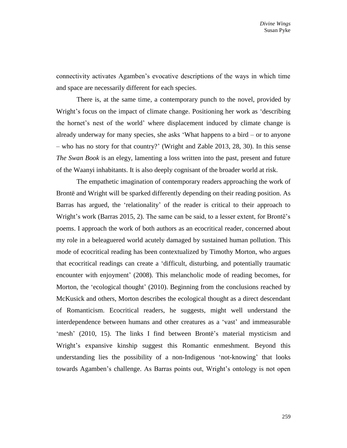connectivity activates Agamben's evocative descriptions of the ways in which time and space are necessarily different for each species.

There is, at the same time, a contemporary punch to the novel, provided by Wright's focus on the impact of climate change. Positioning her work as 'describing the hornet's nest of the world' where displacement induced by climate change is already underway for many species, she asks 'What happens to a bird – or to anyone – who has no story for that country?' (Wright and Zable 2013, 28, 30). In this sense *The Swan Book* is an elegy, lamenting a loss written into the past, present and future of the Waanyi inhabitants. It is also deeply cognisant of the broader world at risk.

The empathetic imagination of contemporary readers approaching the work of Brontë and Wright will be sparked differently depending on their reading position. As Barras has argued, the 'relationality' of the reader is critical to their approach to Wright's work (Barras 2015, 2). The same can be said, to a lesser extent, for Brontë's poems. I approach the work of both authors as an ecocritical reader, concerned about my role in a beleaguered world acutely damaged by sustained human pollution. This mode of ecocritical reading has been contextualized by Timothy Morton, who argues that ecocritical readings can create a 'difficult, disturbing, and potentially traumatic encounter with enjoyment' (2008). This melancholic mode of reading becomes, for Morton, the 'ecological thought' (2010). Beginning from the conclusions reached by McKusick and others, Morton describes the ecological thought as a direct descendant of Romanticism. Ecocritical readers, he suggests, might well understand the interdependence between humans and other creatures as a 'vast' and immeasurable 'mesh' (2010, 15). The links I find between Brontë's material mysticism and Wright's expansive kinship suggest this Romantic enmeshment. Beyond this understanding lies the possibility of a non-Indigenous 'not-knowing' that looks towards Agamben's challenge. As Barras points out, Wright's ontology is not open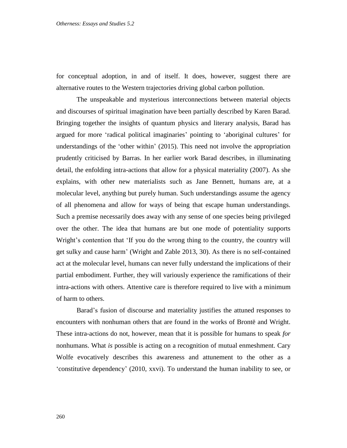for conceptual adoption, in and of itself. It does, however, suggest there are alternative routes to the Western trajectories driving global carbon pollution.

The unspeakable and mysterious interconnections between material objects and discourses of spiritual imagination have been partially described by Karen Barad. Bringing together the insights of quantum physics and literary analysis, Barad has argued for more 'radical political imaginaries' pointing to 'aboriginal cultures' for understandings of the 'other within' (2015). This need not involve the appropriation prudently criticised by Barras. In her earlier work Barad describes, in illuminating detail, the enfolding intra-actions that allow for a physical materiality (2007). As she explains, with other new materialists such as Jane Bennett, humans are, at a molecular level, anything but purely human. Such understandings assume the agency of all phenomena and allow for ways of being that escape human understandings. Such a premise necessarily does away with any sense of one species being privileged over the other. The idea that humans are but one mode of potentiality supports Wright's contention that 'If you do the wrong thing to the country, the country will get sulky and cause harm' (Wright and Zable 2013, 30). As there is no self-contained act at the molecular level, humans can never fully understand the implications of their partial embodiment. Further, they will variously experience the ramifications of their intra-actions with others. Attentive care is therefore required to live with a minimum of harm to others.

Barad's fusion of discourse and materiality justifies the attuned responses to encounters with nonhuman others that are found in the works of Brontë and Wright. These intra-actions do not, however, mean that it is possible for humans to speak *for* nonhumans. What *is* possible is acting on a recognition of mutual enmeshment. Cary Wolfe evocatively describes this awareness and attunement to the other as a 'constitutive dependency' (2010, xxvi). To understand the human inability to see, or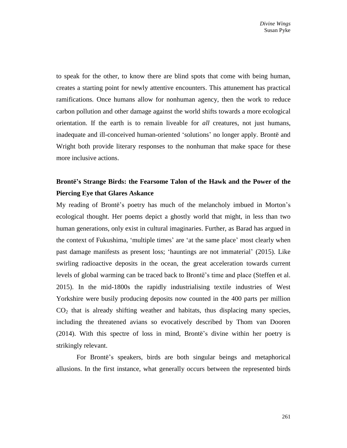to speak for the other, to know there are blind spots that come with being human, creates a starting point for newly attentive encounters. This attunement has practical ramifications. Once humans allow for nonhuman agency, then the work to reduce carbon pollution and other damage against the world shifts towards a more ecological orientation. If the earth is to remain liveable for *all* creatures, not just humans, inadequate and ill-conceived human-oriented 'solutions' no longer apply. Brontë and Wright both provide literary responses to the nonhuman that make space for these more inclusive actions.

## **Brontë's Strange Birds: the Fearsome Talon of the Hawk and the Power of the Piercing Eye that Glares Askance**

My reading of Brontë's poetry has much of the melancholy imbued in Morton's ecological thought. Her poems depict a ghostly world that might, in less than two human generations, only exist in cultural imaginaries. Further, as Barad has argued in the context of Fukushima, 'multiple times' are 'at the same place' most clearly when past damage manifests as present loss; 'hauntings are not immaterial' (2015). Like swirling radioactive deposits in the ocean, the great acceleration towards current levels of global warming can be traced back to Brontë's time and place (Steffen et al. 2015). In the mid-1800s the rapidly industrialising textile industries of West Yorkshire were busily producing deposits now counted in the 400 parts per million CO<sup>2</sup> that is already shifting weather and habitats, thus displacing many species, including the threatened avians so evocatively described by Thom van Dooren (2014). With this spectre of loss in mind, Brontë's divine within her poetry is strikingly relevant.

For Brontë's speakers, birds are both singular beings and metaphorical allusions. In the first instance, what generally occurs between the represented birds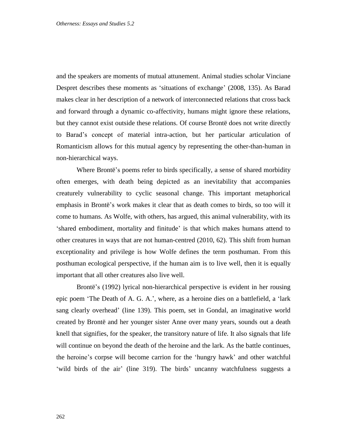and the speakers are moments of mutual attunement. Animal studies scholar Vinciane Despret describes these moments as 'situations of exchange' (2008, 135). As Barad makes clear in her description of a network of interconnected relations that cross back and forward through a dynamic co-affectivity, humans might ignore these relations, but they cannot exist outside these relations. Of course Brontë does not write directly to Barad's concept of material intra-action, but her particular articulation of Romanticism allows for this mutual agency by representing the other-than-human in non-hierarchical ways.

Where Brontë's poems refer to birds specifically, a sense of shared morbidity often emerges, with death being depicted as an inevitability that accompanies creaturely vulnerability to cyclic seasonal change. This important metaphorical emphasis in Brontë's work makes it clear that as death comes to birds, so too will it come to humans. As Wolfe, with others, has argued, this animal vulnerability, with its 'shared embodiment, mortality and finitude' is that which makes humans attend to other creatures in ways that are not human-centred (2010, 62). This shift from human exceptionality and privilege is how Wolfe defines the term posthuman. From this posthuman ecological perspective, if the human aim is to live well, then it is equally important that all other creatures also live well.

Brontë's (1992) lyrical non-hierarchical perspective is evident in her rousing epic poem 'The Death of A. G. A.', where, as a heroine dies on a battlefield, a 'lark sang clearly overhead' (line 139). This poem, set in Gondal, an imaginative world created by Brontë and her younger sister Anne over many years, sounds out a death knell that signifies, for the speaker, the transitory nature of life. It also signals that life will continue on beyond the death of the heroine and the lark. As the battle continues, the heroine's corpse will become carrion for the 'hungry hawk' and other watchful 'wild birds of the air' (line 319). The birds' uncanny watchfulness suggests a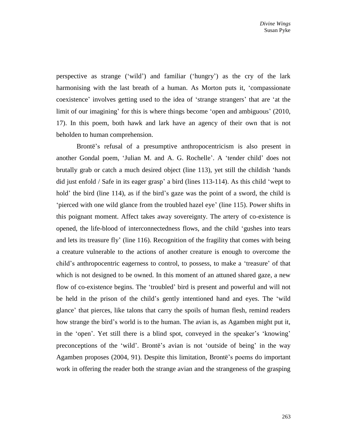perspective as strange ('wild') and familiar ('hungry') as the cry of the lark harmonising with the last breath of a human. As Morton puts it, 'compassionate coexistence' involves getting used to the idea of 'strange strangers' that are 'at the limit of our imagining' for this is where things become 'open and ambiguous' (2010, 17). In this poem, both hawk and lark have an agency of their own that is not beholden to human comprehension.

Brontë's refusal of a presumptive anthropocentricism is also present in another Gondal poem, 'Julian M. and A. G. Rochelle'. A 'tender child' does not brutally grab or catch a much desired object (line 113), yet still the childish 'hands did just enfold / Safe in its eager grasp' a bird (lines 113-114). As this child 'wept to hold' the bird (line 114), as if the bird's gaze was the point of a sword, the child is 'pierced with one wild glance from the troubled hazel eye' (line 115). Power shifts in this poignant moment. Affect takes away sovereignty. The artery of co-existence is opened, the life-blood of interconnectedness flows, and the child 'gushes into tears and lets its treasure fly' (line 116). Recognition of the fragility that comes with being a creature vulnerable to the actions of another creature is enough to overcome the child's anthropocentric eagerness to control, to possess, to make a 'treasure' of that which is not designed to be owned. In this moment of an attuned shared gaze, a new flow of co-existence begins. The 'troubled' bird is present and powerful and will not be held in the prison of the child's gently intentioned hand and eyes. The 'wild glance' that pierces, like talons that carry the spoils of human flesh, remind readers how strange the bird's world is to the human. The avian is, as Agamben might put it, in the 'open'. Yet still there is a blind spot, conveyed in the speaker's 'knowing' preconceptions of the 'wild'. Brontë's avian is not 'outside of being' in the way Agamben proposes (2004, 91). Despite this limitation, Brontë's poems do important work in offering the reader both the strange avian and the strangeness of the grasping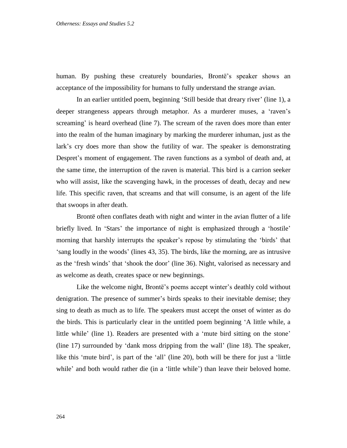human. By pushing these creaturely boundaries, Brontë's speaker shows an acceptance of the impossibility for humans to fully understand the strange avian.

In an earlier untitled poem, beginning 'Still beside that dreary river' (line 1), a deeper strangeness appears through metaphor. As a murderer muses, a 'raven's screaming' is heard overhead (line 7). The scream of the raven does more than enter into the realm of the human imaginary by marking the murderer inhuman, just as the lark's cry does more than show the futility of war. The speaker is demonstrating Despret's moment of engagement. The raven functions as a symbol of death and, at the same time, the interruption of the raven is material. This bird is a carrion seeker who will assist, like the scavenging hawk, in the processes of death, decay and new life. This specific raven, that screams and that will consume, is an agent of the life that swoops in after death.

Brontë often conflates death with night and winter in the avian flutter of a life briefly lived. In 'Stars' the importance of night is emphasized through a 'hostile' morning that harshly interrupts the speaker's repose by stimulating the 'birds' that 'sang loudly in the woods' (lines 43, 35). The birds, like the morning, are as intrusive as the 'fresh winds' that 'shook the door' (line 36). Night, valorised as necessary and as welcome as death, creates space or new beginnings.

Like the welcome night, Brontë's poems accept winter's deathly cold without denigration. The presence of summer's birds speaks to their inevitable demise; they sing to death as much as to life. The speakers must accept the onset of winter as do the birds. This is particularly clear in the untitled poem beginning 'A little while, a little while' (line 1). Readers are presented with a 'mute bird sitting on the stone' (line 17) surrounded by 'dank moss dripping from the wall' (line 18). The speaker, like this 'mute bird', is part of the 'all' (line 20), both will be there for just a 'little while' and both would rather die (in a 'little while') than leave their beloved home.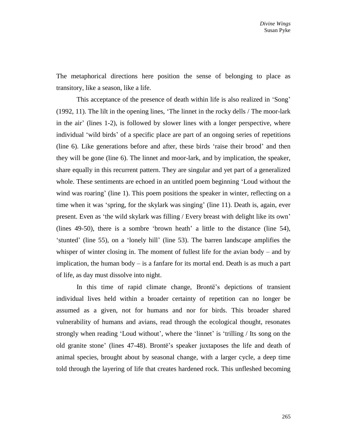The metaphorical directions here position the sense of belonging to place as transitory, like a season, like a life.

This acceptance of the presence of death within life is also realized in 'Song' (1992, 11). The lilt in the opening lines, 'The linnet in the rocky dells / The moor-lark in the air' (lines 1-2), is followed by slower lines with a longer perspective, where individual 'wild birds' of a specific place are part of an ongoing series of repetitions (line 6). Like generations before and after, these birds 'raise their brood' and then they will be gone (line 6). The linnet and moor-lark, and by implication, the speaker, share equally in this recurrent pattern. They are singular and yet part of a generalized whole. These sentiments are echoed in an untitled poem beginning 'Loud without the wind was roaring' (line 1). This poem positions the speaker in winter, reflecting on a time when it was 'spring, for the skylark was singing' (line 11). Death is, again, ever present. Even as 'the wild skylark was filling / Every breast with delight like its own' (lines 49-50), there is a sombre 'brown heath' a little to the distance (line 54), 'stunted' (line 55), on a 'lonely hill' (line 53). The barren landscape amplifies the whisper of winter closing in. The moment of fullest life for the avian body – and by implication, the human body – is a fanfare for its mortal end. Death is as much a part of life, as day must dissolve into night.

In this time of rapid climate change, Brontë's depictions of transient individual lives held within a broader certainty of repetition can no longer be assumed as a given, not for humans and nor for birds. This broader shared vulnerability of humans and avians, read through the ecological thought, resonates strongly when reading 'Loud without', where the 'linnet' is 'trilling / Its song on the old granite stone' (lines 47-48). Brontë's speaker juxtaposes the life and death of animal species, brought about by seasonal change, with a larger cycle, a deep time told through the layering of life that creates hardened rock. This unfleshed becoming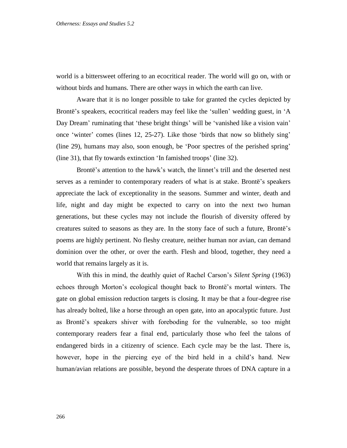world is a bittersweet offering to an ecocritical reader. The world will go on, with or without birds and humans. There are other ways in which the earth can live.

Aware that it is no longer possible to take for granted the cycles depicted by Brontë's speakers, ecocritical readers may feel like the 'sullen' wedding guest, in 'A Day Dream' ruminating that 'these bright things' will be 'vanished like a vision vain' once 'winter' comes (lines 12, 25-27). Like those 'birds that now so blithely sing' (line 29), humans may also, soon enough, be 'Poor spectres of the perished spring' (line 31), that fly towards extinction 'In famished troops' (line 32).

Brontë's attention to the hawk's watch, the linnet's trill and the deserted nest serves as a reminder to contemporary readers of what is at stake. Brontë's speakers appreciate the lack of exceptionality in the seasons. Summer and winter, death and life, night and day might be expected to carry on into the next two human generations, but these cycles may not include the flourish of diversity offered by creatures suited to seasons as they are. In the stony face of such a future, Brontë's poems are highly pertinent. No fleshy creature, neither human nor avian, can demand dominion over the other, or over the earth. Flesh and blood, together, they need a world that remains largely as it is.

With this in mind, the deathly quiet of Rachel Carson's *Silent Spring* (1963) echoes through Morton's ecological thought back to Brontë's mortal winters. The gate on global emission reduction targets is closing. It may be that a four-degree rise has already bolted, like a horse through an open gate, into an apocalyptic future. Just as Brontë's speakers shiver with foreboding for the vulnerable, so too might contemporary readers fear a final end, particularly those who feel the talons of endangered birds in a citizenry of science. Each cycle may be the last. There is, however, hope in the piercing eye of the bird held in a child's hand. New human/avian relations are possible, beyond the desperate throes of DNA capture in a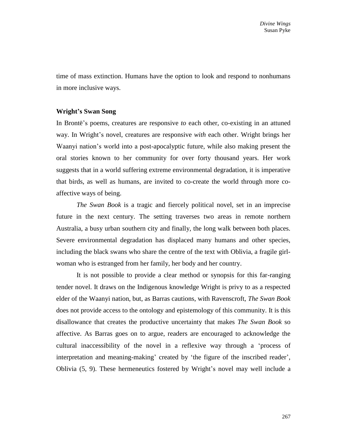time of mass extinction. Humans have the option to look and respond to nonhumans in more inclusive ways.

### **Wright's Swan Song**

In Brontë's poems, creatures are responsive *to* each other, co-existing in an attuned way. In Wright's novel, creatures are responsive *with* each other. Wright brings her Waanyi nation's world into a post-apocalyptic future, while also making present the oral stories known to her community for over forty thousand years. Her work suggests that in a world suffering extreme environmental degradation, it is imperative that birds, as well as humans, are invited to co-create the world through more coaffective ways of being.

*The Swan Book* is a tragic and fiercely political novel, set in an imprecise future in the next century. The setting traverses two areas in remote northern Australia, a busy urban southern city and finally, the long walk between both places. Severe environmental degradation has displaced many humans and other species, including the black swans who share the centre of the text with Oblivia, a fragile girlwoman who is estranged from her family, her body and her country.

It is not possible to provide a clear method or synopsis for this far-ranging tender novel. It draws on the Indigenous knowledge Wright is privy to as a respected elder of the Waanyi nation, but, as Barras cautions, with Ravenscroft, *The Swan Book*  does not provide access to the ontology and epistemology of this community. It is this disallowance that creates the productive uncertainty that makes *The Swan Book* so affective. As Barras goes on to argue, readers are encouraged to acknowledge the cultural inaccessibility of the novel in a reflexive way through a 'process of interpretation and meaning-making' created by 'the figure of the inscribed reader', Oblivia (5, 9). These hermeneutics fostered by Wright's novel may well include a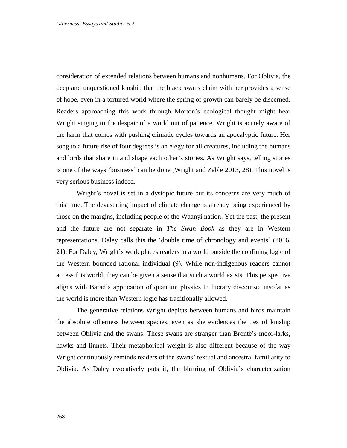consideration of extended relations between humans and nonhumans. For Oblivia, the deep and unquestioned kinship that the black swans claim with her provides a sense of hope, even in a tortured world where the spring of growth can barely be discerned. Readers approaching this work through Morton's ecological thought might hear Wright singing to the despair of a world out of patience. Wright is acutely aware of the harm that comes with pushing climatic cycles towards an apocalyptic future. Her song to a future rise of four degrees is an elegy for all creatures, including the humans and birds that share in and shape each other's stories. As Wright says, telling stories is one of the ways 'business' can be done (Wright and Zable 2013, 28). This novel is very serious business indeed.

Wright's novel is set in a dystopic future but its concerns are very much of this time. The devastating impact of climate change is already being experienced by those on the margins, including people of the Waanyi nation. Yet the past, the present and the future are not separate in *The Swan Book* as they are in Western representations. Daley calls this the 'double time of chronology and events' (2016, 21). For Daley, Wright's work places readers in a world outside the confining logic of the Western bounded rational individual (9). While non-indigenous readers cannot access this world, they can be given a sense that such a world exists. This perspective aligns with Barad's application of quantum physics to literary discourse, insofar as the world is more than Western logic has traditionally allowed.

The generative relations Wright depicts between humans and birds maintain the absolute otherness between species, even as she evidences the ties of kinship between Oblivia and the swans. These swans are stranger than Brontë's moor-larks, hawks and linnets. Their metaphorical weight is also different because of the way Wright continuously reminds readers of the swans' textual and ancestral familiarity to Oblivia. As Daley evocatively puts it, the blurring of Oblivia's characterization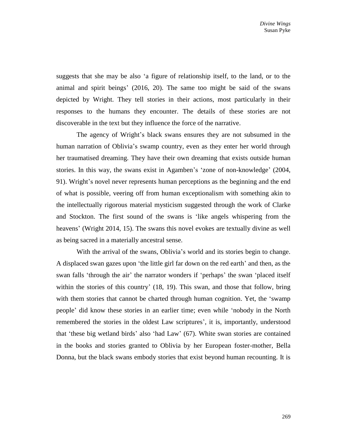suggests that she may be also 'a figure of relationship itself, to the land, or to the animal and spirit beings' (2016, 20). The same too might be said of the swans depicted by Wright. They tell stories in their actions, most particularly in their responses to the humans they encounter. The details of these stories are not discoverable in the text but they influence the force of the narrative.

The agency of Wright's black swans ensures they are not subsumed in the human narration of Oblivia's swamp country, even as they enter her world through her traumatised dreaming. They have their own dreaming that exists outside human stories. In this way, the swans exist in Agamben's 'zone of non-knowledge' (2004, 91). Wright's novel never represents human perceptions as the beginning and the end of what is possible, veering off from human exceptionalism with something akin to the intellectually rigorous material mysticism suggested through the work of Clarke and Stockton. The first sound of the swans is 'like angels whispering from the heavens' (Wright 2014, 15). The swans this novel evokes are textually divine as well as being sacred in a materially ancestral sense.

With the arrival of the swans, Oblivia's world and its stories begin to change. A displaced swan gazes upon 'the little girl far down on the red earth' and then, as the swan falls 'through the air' the narrator wonders if 'perhaps' the swan 'placed itself within the stories of this country' (18, 19). This swan, and those that follow, bring with them stories that cannot be charted through human cognition. Yet, the 'swamp people' did know these stories in an earlier time; even while 'nobody in the North remembered the stories in the oldest Law scriptures', it is, importantly, understood that 'these big wetland birds' also 'had Law' (67). White swan stories are contained in the books and stories granted to Oblivia by her European foster-mother, Bella Donna, but the black swans embody stories that exist beyond human recounting. It is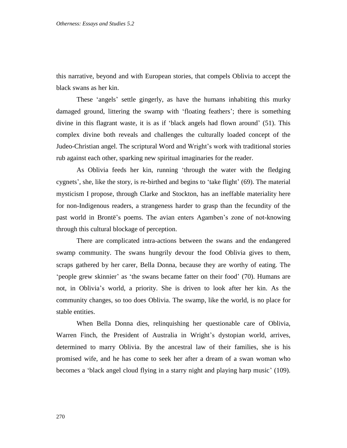this narrative, beyond and with European stories, that compels Oblivia to accept the black swans as her kin.

These 'angels' settle gingerly, as have the humans inhabiting this murky damaged ground, littering the swamp with 'floating feathers'; there is something divine in this flagrant waste, it is as if 'black angels had flown around' (51). This complex divine both reveals and challenges the culturally loaded concept of the Judeo-Christian angel. The scriptural Word and Wright's work with traditional stories rub against each other, sparking new spiritual imaginaries for the reader.

As Oblivia feeds her kin, running 'through the water with the fledging cygnets', she, like the story, is re-birthed and begins to 'take flight' (69). The material mysticism I propose, through Clarke and Stockton, has an ineffable materiality here for non-Indigenous readers, a strangeness harder to grasp than the fecundity of the past world in Brontë's poems. The avian enters Agamben's zone of not-knowing through this cultural blockage of perception.

There are complicated intra-actions between the swans and the endangered swamp community. The swans hungrily devour the food Oblivia gives to them, scraps gathered by her carer, Bella Donna, because they are worthy of eating. The 'people grew skinnier' as 'the swans became fatter on their food' (70). Humans are not, in Oblivia's world, a priority. She is driven to look after her kin. As the community changes, so too does Oblivia. The swamp, like the world, is no place for stable entities.

When Bella Donna dies, relinquishing her questionable care of Oblivia, Warren Finch, the President of Australia in Wright's dystopian world, arrives, determined to marry Oblivia. By the ancestral law of their families, she is his promised wife, and he has come to seek her after a dream of a swan woman who becomes a 'black angel cloud flying in a starry night and playing harp music' (109).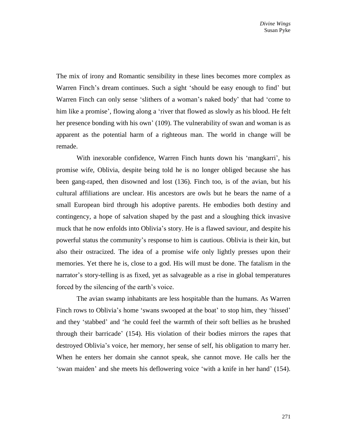The mix of irony and Romantic sensibility in these lines becomes more complex as Warren Finch's dream continues. Such a sight 'should be easy enough to find' but Warren Finch can only sense 'slithers of a woman's naked body' that had 'come to him like a promise', flowing along a 'river that flowed as slowly as his blood. He felt her presence bonding with his own' (109). The vulnerability of swan and woman is as apparent as the potential harm of a righteous man. The world in change will be remade.

With inexorable confidence, Warren Finch hunts down his 'mangkarri', his promise wife, Oblivia, despite being told he is no longer obliged because she has been gang-raped, then disowned and lost (136). Finch too, is of the avian, but his cultural affiliations are unclear. His ancestors are owls but he bears the name of a small European bird through his adoptive parents. He embodies both destiny and contingency, a hope of salvation shaped by the past and a sloughing thick invasive muck that he now enfolds into Oblivia's story. He is a flawed saviour, and despite his powerful status the community's response to him is cautious. Oblivia is their kin, but also their ostracized. The idea of a promise wife only lightly presses upon their memories. Yet there he is, close to a god. His will must be done. The fatalism in the narrator's story-telling is as fixed, yet as salvageable as a rise in global temperatures forced by the silencing of the earth's voice.

The avian swamp inhabitants are less hospitable than the humans. As Warren Finch rows to Oblivia's home 'swans swooped at the boat' to stop him, they 'hissed' and they 'stabbed' and 'he could feel the warmth of their soft bellies as he brushed through their barricade' (154). His violation of their bodies mirrors the rapes that destroyed Oblivia's voice, her memory, her sense of self, his obligation to marry her. When he enters her domain she cannot speak, she cannot move. He calls her the 'swan maiden' and she meets his deflowering voice 'with a knife in her hand' (154).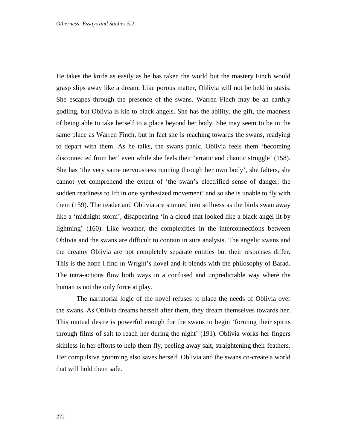He takes the knife as easily as he has taken the world but the mastery Finch would grasp slips away like a dream. Like porous matter, Oblivia will not be held in stasis. She escapes through the presence of the swans. Warren Finch may be an earthly godling, but Oblivia is kin to black angels. She has the ability, the gift, the madness of being able to take herself to a place beyond her body. She may seem to be in the same place as Warren Finch, but in fact she is reaching towards the swans, readying to depart with them. As he talks, the swans panic. Oblivia feels them 'becoming disconnected from her' even while she feels their 'erratic and chaotic struggle' (158). She has 'the very same nervousness running through her own body', she falters, she cannot yet comprehend the extent of 'the swan's electrified sense of danger, the sudden readiness to lift in one synthesized movement' and so she is unable to fly with them (159). The reader and Oblivia are stunned into stillness as the birds swan away like a 'midnight storm', disappearing 'in a cloud that looked like a black angel lit by lightning' (160). Like weather, the complexities in the interconnections between Oblivia and the swans are difficult to contain in sure analysis. The angelic swans and the dreamy Oblivia are not completely separate entities but their responses differ. This is the hope I find in Wright's novel and it blends with the philosophy of Barad. The intra-actions flow both ways in a confused and unpredictable way where the human is not the only force at play.

The narratorial logic of the novel refuses to place the needs of Oblivia over the swans. As Oblivia dreams herself after them, they dream themselves towards her. This mutual desire is powerful enough for the swans to begin 'forming their spirits through films of salt to reach her during the night' (191). Oblivia works her fingers skinless in her efforts to help them fly, peeling away salt, straightening their feathers. Her compulsive grooming also saves herself. Oblivia and the swans co-create a world that will hold them safe.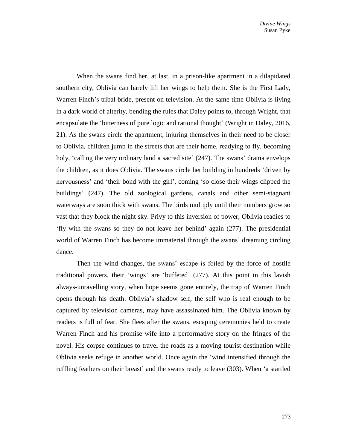When the swans find her, at last, in a prison-like apartment in a dilapidated southern city, Oblivia can barely lift her wings to help them. She is the First Lady, Warren Finch's tribal bride, present on television. At the same time Oblivia is living in a dark world of alterity, bending the rules that Daley points to, through Wright, that encapsulate the 'bitterness of pure logic and rational thought' (Wright in Daley, 2016, 21). As the swans circle the apartment, injuring themselves in their need to be closer to Oblivia, children jump in the streets that are their home, readying to fly, becoming holy, 'calling the very ordinary land a sacred site' (247). The swans' drama envelops the children, as it does Oblivia. The swans circle her building in hundreds 'driven by nervousness' and 'their bond with the girl', coming 'so close their wings clipped the buildings' (247). The old zoological gardens, canals and other semi-stagnant waterways are soon thick with swans. The birds multiply until their numbers grow so vast that they block the night sky. Privy to this inversion of power, Oblivia readies to 'fly with the swans so they do not leave her behind' again (277). The presidential world of Warren Finch has become immaterial through the swans' dreaming circling dance.

Then the wind changes, the swans' escape is foiled by the force of hostile traditional powers, their 'wings' are 'buffeted' (277). At this point in this lavish always-unravelling story, when hope seems gone entirely, the trap of Warren Finch opens through his death. Oblivia's shadow self, the self who is real enough to be captured by television cameras, may have assassinated him. The Oblivia known by readers is full of fear. She flees after the swans, escaping ceremonies held to create Warren Finch and his promise wife into a performative story on the fringes of the novel. His corpse continues to travel the roads as a moving tourist destination while Oblivia seeks refuge in another world. Once again the 'wind intensified through the ruffling feathers on their breast' and the swans ready to leave (303). When 'a startled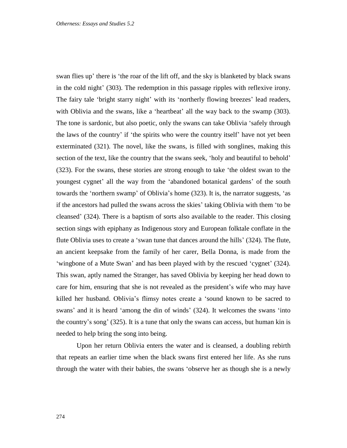swan flies up' there is 'the roar of the lift off, and the sky is blanketed by black swans in the cold night' (303). The redemption in this passage ripples with reflexive irony. The fairy tale 'bright starry night' with its 'northerly flowing breezes' lead readers, with Oblivia and the swans, like a 'heartbeat' all the way back to the swamp (303). The tone is sardonic, but also poetic, only the swans can take Oblivia 'safely through the laws of the country' if 'the spirits who were the country itself' have not yet been exterminated (321). The novel, like the swans, is filled with songlines, making this section of the text, like the country that the swans seek, 'holy and beautiful to behold' (323). For the swans, these stories are strong enough to take 'the oldest swan to the youngest cygnet' all the way from the 'abandoned botanical gardens' of the south towards the 'northern swamp' of Oblivia's home (323). It is, the narrator suggests, 'as if the ancestors had pulled the swans across the skies' taking Oblivia with them 'to be cleansed' (324). There is a baptism of sorts also available to the reader. This closing section sings with epiphany as Indigenous story and European folktale conflate in the flute Oblivia uses to create a 'swan tune that dances around the hills' (324). The flute, an ancient keepsake from the family of her carer, Bella Donna, is made from the 'wingbone of a Mute Swan' and has been played with by the rescued 'cygnet' (324). This swan, aptly named the Stranger, has saved Oblivia by keeping her head down to care for him, ensuring that she is not revealed as the president's wife who may have killed her husband. Oblivia's flimsy notes create a 'sound known to be sacred to swans' and it is heard 'among the din of winds' (324). It welcomes the swans 'into the country's song' (325). It is a tune that only the swans can access, but human kin is needed to help bring the song into being.

Upon her return Oblivia enters the water and is cleansed, a doubling rebirth that repeats an earlier time when the black swans first entered her life. As she runs through the water with their babies, the swans 'observe her as though she is a newly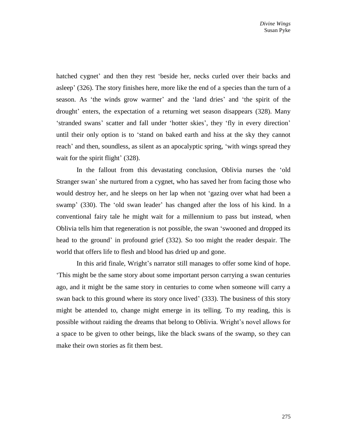hatched cygnet' and then they rest 'beside her, necks curled over their backs and asleep' (326). The story finishes here, more like the end of a species than the turn of a season. As 'the winds grow warmer' and the 'land dries' and 'the spirit of the drought' enters, the expectation of a returning wet season disappears (328). Many 'stranded swans' scatter and fall under 'hotter skies', they 'fly in every direction' until their only option is to 'stand on baked earth and hiss at the sky they cannot reach' and then, soundless, as silent as an apocalyptic spring, 'with wings spread they wait for the spirit flight' (328).

In the fallout from this devastating conclusion, Oblivia nurses the 'old Stranger swan' she nurtured from a cygnet, who has saved her from facing those who would destroy her, and he sleeps on her lap when not 'gazing over what had been a swamp' (330). The 'old swan leader' has changed after the loss of his kind. In a conventional fairy tale he might wait for a millennium to pass but instead, when Oblivia tells him that regeneration is not possible, the swan 'swooned and dropped its head to the ground' in profound grief (332). So too might the reader despair. The world that offers life to flesh and blood has dried up and gone.

In this arid finale, Wright's narrator still manages to offer some kind of hope. 'This might be the same story about some important person carrying a swan centuries ago, and it might be the same story in centuries to come when someone will carry a swan back to this ground where its story once lived' (333). The business of this story might be attended to, change might emerge in its telling. To my reading, this is possible without raiding the dreams that belong to Oblivia. Wright's novel allows for a space to be given to other beings, like the black swans of the swamp, so they can make their own stories as fit them best.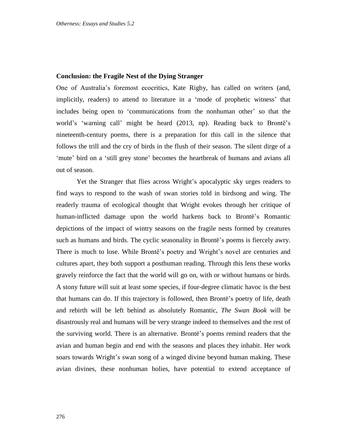### **Conclusion: the Fragile Nest of the Dying Stranger**

One of Australia's foremost ecocritics, Kate Rigby, has called on writers (and, implicitly, readers) to attend to literature in a 'mode of prophetic witness' that includes being open to 'communications from the nonhuman other' so that the world's 'warning call' might be heard (2013, np). Reading back to Brontë's nineteenth-century poems, there is a preparation for this call in the silence that follows the trill and the cry of birds in the flush of their season. The silent dirge of a 'mute' bird on a 'still grey stone' becomes the heartbreak of humans and avians all out of season.

Yet the Stranger that flies across Wright's apocalyptic sky urges readers to find ways to respond to the wash of swan stories told in birdsong and wing. The readerly trauma of ecological thought that Wright evokes through her critique of human-inflicted damage upon the world harkens back to Brontë's Romantic depictions of the impact of wintry seasons on the fragile nests formed by creatures such as humans and birds. The cyclic seasonality in Brontë's poems is fiercely awry. There is much to lose. While Brontë's poetry and Wright's novel are centuries and cultures apart, they both support a posthuman reading. Through this lens these works gravely reinforce the fact that the world will go on, with or without humans or birds. A stony future will suit at least some species, if four-degree climatic havoc is the best that humans can do. If this trajectory is followed, then Brontë's poetry of life, death and rebirth will be left behind as absolutely Romantic, *The Swan Book* will be disastrously real and humans will be very strange indeed to themselves and the rest of the surviving world. There is an alternative. Brontë's poems remind readers that the avian and human begin and end with the seasons and places they inhabit. Her work soars towards Wright's swan song of a winged divine beyond human making. These avian divines, these nonhuman holies, have potential to extend acceptance of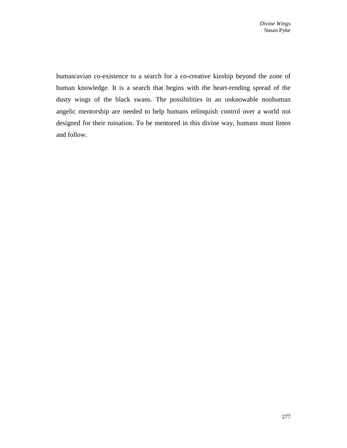human/avian co-existence to a search for a co-creative kinship beyond the zone of human knowledge. It is a search that begins with the heart-rending spread of the dusty wings of the black swans. The possibilities in an unknowable nonhuman angelic mentorship are needed to help humans relinquish control over a world not designed for their ruination. To be mentored in this divine way, humans must listen and follow.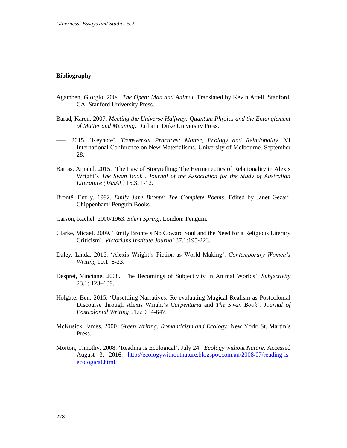#### **Bibliography**

- Agamben, Giorgio. 2004. *The Open: Man and Animal*. Translated by Kevin Attell. Stanford, CA: Stanford University Press.
- Barad, Karen. 2007. *Meeting the Universe Halfway: Quantum Physics and the Entanglement of Matter and Meaning*. Durham: Duke University Press.
- –––. 2015. 'Keynote'. *Transversal Practices: Matter, Ecology and Relationality*. VI International Conference on New Materialisms. University of Melbourne. September 28.
- Barras, Arnaud. 2015. 'The Law of Storytelling: The Hermeneutics of Relationality in Alexis Wright's *The Swan Book*'. *Journal of the Association for the Study of Australian Literature (JASAL)* 15.3: 1-12.
- Brontë, Emily. 1992. *Emily Jane Brontë: The Complete Poems*. Edited by Janet Gezari. Chippenham: Penguin Books.
- Carson, Rachel. 2000/1963. *Silent Spring*. London: Penguin.
- Clarke, Micael. 2009. 'Emily Brontë's No Coward Soul and the Need for a Religious Literary Criticism'. *Victorians Institute Journal* 37.1:195-223.
- Daley, Linda. 2016. 'Alexis Wright's Fiction as World Making'. *Contemporary Women's Writing* 10.1: 8-23.
- Despret, Vinciane. 2008. 'The Becomings of Subjectivity in Animal Worlds'. *Subjectivity* 23.1: 123–139.
- Holgate, Ben. 2015. 'Unsettling Narratives: Re-evaluating Magical Realism as Postcolonial Discourse through Alexis Wright's *Carpentaria* and *The Swan Book*'. *Journal of Postcolonial Writing* 51.6: 634-647.
- McKusick, James. 2000. *Green Writing: Romanticism and Ecology*. New York: St. Martin's Press.
- Morton, Timothy. 2008. 'Reading is Ecological'. July 24. *Ecology without Nature*. Accessed August 3, 2016. [http://ecologywithoutnature.blogspot.com.au/2008/07/reading-is](http://ecologywithoutnature.blogspot.com.au/2008/07/reading-is-ecological.html)[ecological.html.](http://ecologywithoutnature.blogspot.com.au/2008/07/reading-is-ecological.html)